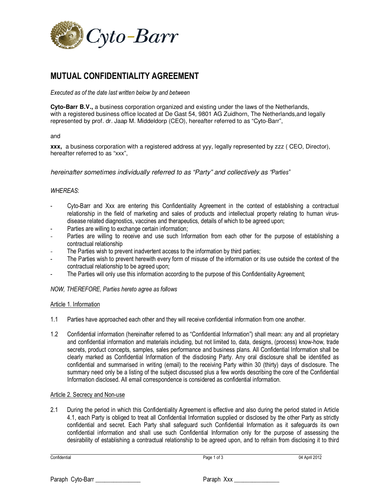

# **MUTUAL CONFIDENTIALITY AGREEMENT**

*Executed as of the date last written below by and between* 

**Cyto-Barr B.V.,** a business corporation organized and existing under the laws of the Netherlands, with a registered business office located at De Gast 54, 9801 AG Zuidhorn, The Netherlands,and legally represented by prof. dr. Jaap M. Middeldorp (CEO), hereafter referred to as "Cyto-Barr",

#### and

**xxx,** a business corporation with a registered address at yyy, legally represented by zzz ( CEO, Director), hereafter referred to as "xxx",

hereinafter sometimes individually referred to as "Party" and collectively as "*Parties"* 

## *WHEREAS*:

- Cyto-Barr and Xxx are entering this Confidentiality Agreement in the context of establishing a contractual relationship in the field of marketing and sales of products and intellectual property relating to human virusdisease related diagnostics, vaccines and therapeutics, details of which to be agreed upon;
- Parties are willing to exchange certain information;
- Parties are willing to receive and use such Information from each other for the purpose of establishing a contractual relationship
- The Parties wish to prevent inadvertent access to the information by third parties;
- The Parties wish to prevent herewith every form of misuse of the information or its use outside the context of the contractual relationship to be agreed upon;
- The Parties will only use this information according to the purpose of this Confidentiality Agreement;

## *NOW, THEREFORE, Parties hereto agree as follows*

## Article 1. Information

- 1.1 Parties have approached each other and they will receive confidential information from one another.
- 1.2 Confidential information (hereinafter referred to as "Confidential Information") shall mean: any and all proprietary and confidential information and materials including, but not limited to, data, designs, (process) know-how, trade secrets, product concepts, samples, sales performance and business plans. All Confidential Information shall be clearly marked as Confidential Information of the disclosing Party. Any oral disclosure shall be identified as confidential and summarised in writing (email) to the receiving Party within 30 (thirty) days of disclosure. The summary need only be a listing of the subject discussed plus a few words describing the core of the Confidential Information disclosed. All email correspondence is considered as confidential information.

## Article 2. Secrecy and Non-use

2.1 During the period in which this Confidentiality Agreement is effective and also during the period stated in Article 4.1, each Party is obliged to treat all Confidential Information supplied or disclosed by the other Party as strictly confidential and secret. Each Party shall safeguard such Confidential Information as it safeguards its own confidential information and shall use such Confidential Information only for the purpose of assessing the desirability of establishing a contractual relationship to be agreed upon, and to refrain from disclosing it to third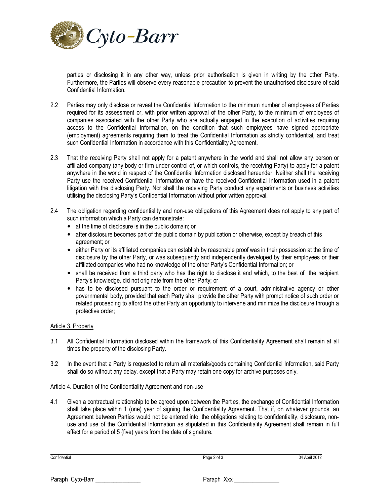

parties or disclosing it in any other way, unless prior authorisation is given in writing by the other Party. Furthermore, the Parties will observe every reasonable precaution to prevent the unauthorised disclosure of said Confidential Information.

- 2.2 Parties may only disclose or reveal the Confidential Information to the minimum number of employees of Parties required for its assessment or, with prior written approval of the other Party, to the minimum of employees of companies associated with the other Party who are actually engaged in the execution of activities requiring access to the Confidential Information, on the condition that such employees have signed appropriate (employment) agreements requiring them to treat the Confidential Information as strictly confidential, and treat such Confidential Information in accordance with this Confidentiality Agreement.
- 2.3 That the receiving Party shall not apply for a patent anywhere in the world and shall not allow any person or affiliated company (any body or firm under control of, or which controls, the receiving Party) to apply for a patent anywhere in the world in respect of the Confidential Information disclosed hereunder. Neither shall the receiving Party use the received Confidential Information or have the received Confidential Information used in a patent litigation with the disclosing Party. Nor shall the receiving Party conduct any experiments or business activities utilising the disclosing Party's Confidential Information without prior written approval.
- 2.4 The obligation regarding confidentiality and non-use obligations of this Agreement does not apply to any part of such information which a Party can demonstrate:
	- at the time of disclosure is in the public domain; or
	- after disclosure becomes part of the public domain by publication or otherwise, except by breach of this agreement; or
	- either Party or its affiliated companies can establish by reasonable proof was in their possession at the time of disclosure by the other Party, or was subsequently and independently developed by their employees or their affiliated companies who had no knowledge of the other Party's Confidential Information; or
	- shall be received from a third party who has the right to disclose it and which, to the best of the recipient Party's knowledge, did not originate from the other Party; or
	- has to be disclosed pursuant to the order or requirement of a court, administrative agency or other governmental body, provided that each Party shall provide the other Party with prompt notice of such order or related proceeding to afford the other Party an opportunity to intervene and minimize the disclosure through a protective order;

# Article 3. Property

- 3.1 All Confidential Information disclosed within the framework of this Confidentiality Agreement shall remain at all times the property of the disclosing Party.
- 3.2 In the event that a Party is requested to return all materials/goods containing Confidential Information, said Party shall do so without any delay, except that a Party may retain one copy for archive purposes only.

## Article 4. Duration of the Confidentiality Agreement and non-use

4.1 Given a contractual relationship to be agreed upon between the Parties, the exchange of Confidential Information shall take place within 1 (one) year of signing the Confidentiality Agreement. That if, on whatever grounds, an Agreement between Parties would not be entered into, the obligations relating to confidentiality, disclosure, nonuse and use of the Confidential Information as stipulated in this Confidentiality Agreement shall remain in full effect for a period of 5 (five) years from the date of signature.